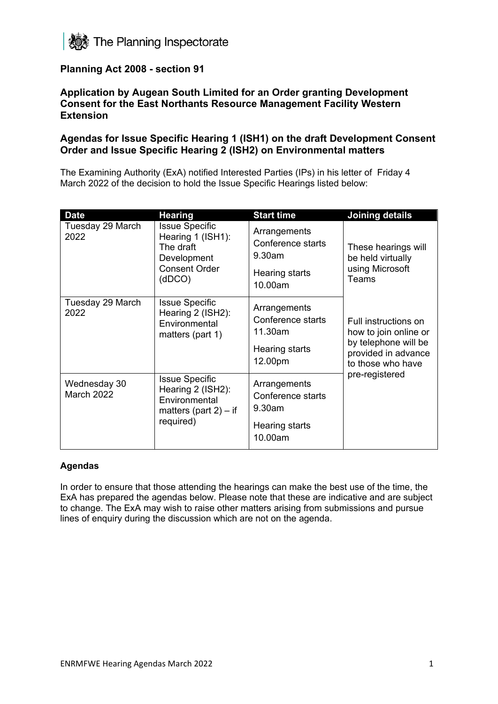

# **Planning Act 2008 - section 91**

#### **Application by Augean South Limited for an Order granting Development Consent for the East Northants Resource Management Facility Western Extension**

## **Agendas for Issue Specific Hearing 1 (ISH1) on the draft Development Consent Order and Issue Specific Hearing 2 (ISH2) on Environmental matters**

The Examining Authority (ExA) notified Interested Parties (IPs) in his letter of Friday 4 March 2022 of the decision to hold the Issue Specific Hearings listed below:

| <b>Date</b>                       | <b>Hearing</b>                                                                                           | <b>Start time</b>                                                         | <b>Joining details</b>                                                                                            |
|-----------------------------------|----------------------------------------------------------------------------------------------------------|---------------------------------------------------------------------------|-------------------------------------------------------------------------------------------------------------------|
| Tuesday 29 March<br>2022          | <b>Issue Specific</b><br>Hearing 1 (ISH1):<br>The draft<br>Development<br><b>Consent Order</b><br>(dDCO) | Arrangements<br>Conference starts<br>9.30am                               | These hearings will<br>be held virtually<br>using Microsoft<br>Teams                                              |
|                                   |                                                                                                          | Hearing starts<br>10.00am                                                 |                                                                                                                   |
| Tuesday 29 March<br>2022          | <b>Issue Specific</b><br>Hearing 2 (ISH2):<br>Environmental<br>matters (part 1)                          | Arrangements<br>Conference starts<br>11.30am<br>Hearing starts<br>12.00pm | Full instructions on<br>how to join online or<br>by telephone will be<br>provided in advance<br>to those who have |
| Wednesday 30<br><b>March 2022</b> | <b>Issue Specific</b><br>Hearing 2 (ISH2):<br>Environmental<br>matters (part $2$ ) – if<br>required)     | Arrangements<br>Conference starts<br>9.30am                               | pre-registered                                                                                                    |
|                                   |                                                                                                          | Hearing starts<br>10.00am                                                 |                                                                                                                   |

#### **Agendas**

In order to ensure that those attending the hearings can make the best use of the time, the ExA has prepared the agendas below. Please note that these are indicative and are subject to change. The ExA may wish to raise other matters arising from submissions and pursue lines of enquiry during the discussion which are not on the agenda.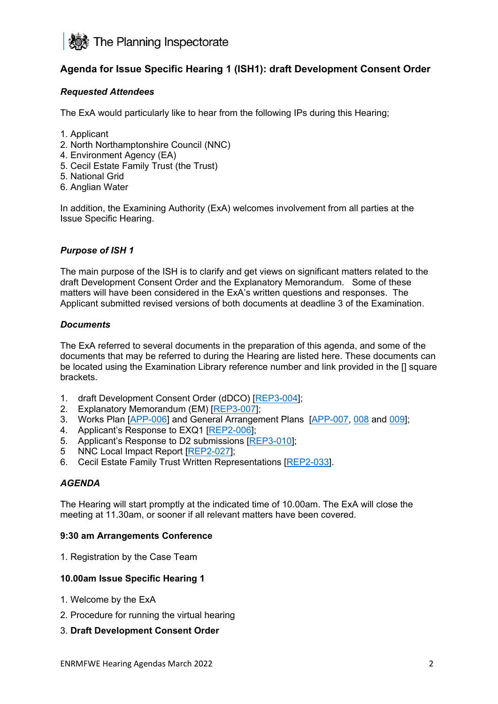

# **Agenda for Issue Specific Hearing 1 (ISH1): draft Development Consent Order**

#### *Requested Attendees*

The ExA would particularly like to hear from the following IPs during this Hearing;

- 1. Applicant
- 2. North Northamptonshire Council (NNC)
- 4. Environment Agency (EA)
- 5. Cecil Estate Family Trust (the Trust)
- 5. National Grid
- 6. Anglian Water

In addition, the Examining Authority (ExA) welcomes involvement from all parties at the Issue Specific Hearing.

#### *Purpose of ISH 1*

The main purpose of the ISH is to clarify and get views on significant matters related to the draft Development Consent Order and the Explanatory Memorandum. Some of these matters will have been considered in the ExA's written questions and responses. The Applicant submitted revised versions of both documents at deadline 3 of the Examination.

#### *Documents*

The ExA referred to several documents in the preparation of this agenda, and some of the documents that may be referred to during the Hearing are listed here. These documents can be located using the Examination Library reference number and link provided in the [] square brackets.

- 1. draft Development Consent Order (dDCO) [\[REP3-004\]](https://infrastructure.planninginspectorate.gov.uk/wp-content/ipc/uploads/projects/WS010005/WS010005-000528-MJCA%20-%20An%20updated%20version%20of%20the%20draft%20Development%20Consent%20Order%20(dDCO)%20tracked.pdf);
- 2. Explanatory Memorandum (EM) [\[REP3-007\]](https://infrastructure.planninginspectorate.gov.uk/wp-content/ipc/uploads/projects/WS010005/WS010005-000532-MJCA%20-%20Other-%20Explanatory%20Memorandum%20v1%20comparison.pdf);
- 3. Works Plan [\[APP-006\]](https://infrastructure.planninginspectorate.gov.uk/wp-content/ipc/uploads/projects/WS010005/WS010005-000274-2.3%20Works%20Plan.pdf) and General Arrangement Plans [\[APP-007,](https://infrastructure.planninginspectorate.gov.uk/wp-content/ipc/uploads/projects/WS010005/WS010005-000275-2.4%20GA%20Plan%20Work%20No%201A%20and%20Work%20No%201B.pdf) [008](https://infrastructure.planninginspectorate.gov.uk/wp-content/ipc/uploads/projects/WS010005/WS010005-000276-2.5%20GA%20Plan%20Work%20No%202.pdf) and [009\]](https://infrastructure.planninginspectorate.gov.uk/wp-content/ipc/uploads/projects/WS010005/WS010005-000264-2.6%20GA%20Plan%20Work%20No%203.pdf);
- 4. Applicant's Response to EXQ1 [\[REP2-006\]](https://infrastructure.planninginspectorate.gov.uk/wp-content/ipc/uploads/projects/WS010005/WS010005-000496-9.2%20EXQ1%20Responses.pdf);
- 5. Applicant's Response to D2 submissions [\[REP3-010\]](https://infrastructure.planninginspectorate.gov.uk/wp-content/ipc/uploads/projects/WS010005/WS010005-000536-MJCA%20-%20Other-%20Applicant%20response%20to%20the%20Deadline%202%20submissions.pdf);
- 5 NNC Local Impact Report [\[REP2-027\]](https://infrastructure.planninginspectorate.gov.uk/wp-content/ipc/uploads/projects/WS010005/WS010005-000489-North%20Northamptonshire%20Council%20-%20Local%20Impact%20Report.pdf);
- 6. Cecil Estate Family Trust Written Representations [\[REP2-033\]](https://infrastructure.planninginspectorate.gov.uk/wp-content/ipc/uploads/projects/WS010005/WS010005-000486-Maples%20Teesdale%20LLP%20-%20Written%20Representations.pdf).

#### *AGENDA*

The Hearing will start promptly at the indicated time of 10.00am. The ExA will close the meeting at 11.30am, or sooner if all relevant matters have been covered.

#### **9:30 am Arrangements Conference**

1. Registration by the Case Team

#### **10.00am Issue Specific Hearing 1**

- 1. Welcome by the ExA
- 2. Procedure for running the virtual hearing
- 3. **Draft Development Consent Order**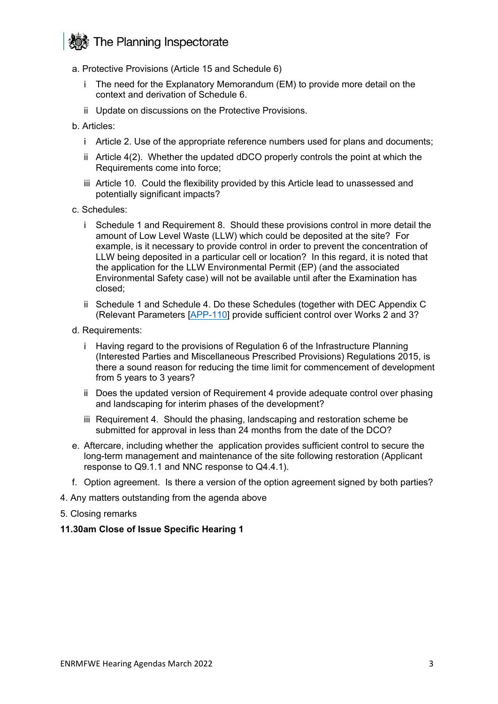# **S** The Planning Inspectorate

- a. Protective Provisions (Article 15 and Schedule 6)
	- i The need for the Explanatory Memorandum (EM) to provide more detail on the context and derivation of Schedule 6.
	- ii Update on discussions on the Protective Provisions.
- b. Articles:
	- i Article 2. Use of the appropriate reference numbers used for plans and documents;
	- ii Article 4(2). Whether the updated dDCO properly controls the point at which the Requirements come into force;
	- iii Article 10. Could the flexibility provided by this Article lead to unassessed and potentially significant impacts?
- c. Schedules:
	- i Schedule 1 and Requirement 8. Should these provisions control in more detail the amount of Low Level Waste (LLW) which could be deposited at the site? For example, is it necessary to provide control in order to prevent the concentration of LLW being deposited in a particular cell or location? In this regard, it is noted that the application for the LLW Environmental Permit (EP) (and the associated Environmental Safety case) will not be available until after the Examination has closed;
	- ii Schedule 1 and Schedule 4. Do these Schedules (together with DEC Appendix C (Relevant Parameters [\[APP-110\]](https://infrastructure.planninginspectorate.gov.uk/wp-content/ipc/uploads/projects/WS010005/WS010005-000341-6.5%20DCO%20Environmental%20Commitments.pdf) provide sufficient control over Works 2 and 3?
- d. Requirements:
	- i Having regard to the provisions of Regulation 6 of the Infrastructure Planning (Interested Parties and Miscellaneous Prescribed Provisions) Regulations 2015, is there a sound reason for reducing the time limit for commencement of development from 5 years to 3 years?
	- ii Does the updated version of Requirement 4 provide adequate control over phasing and landscaping for interim phases of the development?
	- iii Requirement 4. Should the phasing, landscaping and restoration scheme be submitted for approval in less than 24 months from the date of the DCO?
- e. Aftercare, including whether the application provides sufficient control to secure the long-term management and maintenance of the site following restoration (Applicant response to Q9.1.1 and NNC response to Q4.4.1).
- f. Option agreement. Is there a version of the option agreement signed by both parties?
- 4. Any matters outstanding from the agenda above
- 5. Closing remarks

#### **11.30am Close of Issue Specific Hearing 1**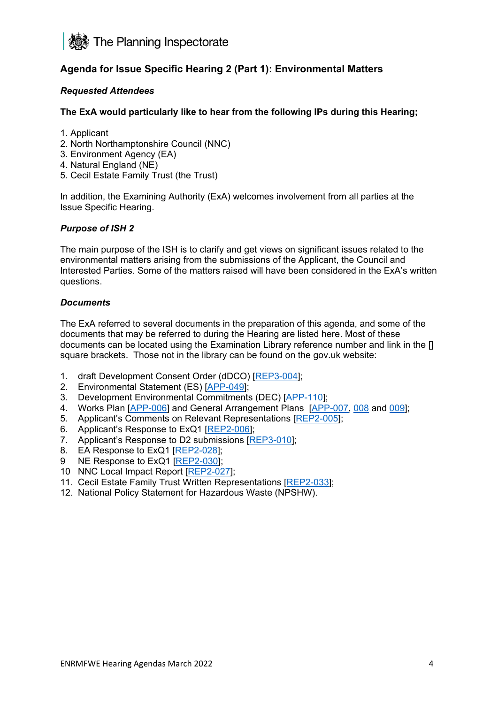

# **Agenda for Issue Specific Hearing 2 (Part 1): Environmental Matters**

#### *Requested Attendees*

#### **The ExA would particularly like to hear from the following IPs during this Hearing;**

- 1. Applicant
- 2. North Northamptonshire Council (NNC)
- 3. Environment Agency (EA)
- 4. Natural England (NE)
- 5. Cecil Estate Family Trust (the Trust)

In addition, the Examining Authority (ExA) welcomes involvement from all parties at the Issue Specific Hearing.

#### *Purpose of ISH 2*

The main purpose of the ISH is to clarify and get views on significant issues related to the environmental matters arising from the submissions of the Applicant, the Council and Interested Parties. Some of the matters raised will have been considered in the ExA's written questions.

#### *Documents*

The ExA referred to several documents in the preparation of this agenda, and some of the documents that may be referred to during the Hearing are listed here. Most of these documents can be located using the Examination Library reference number and link in the [] square brackets. Those not in the library can be found on the gov.uk website:

- 1. draft Development Consent Order (dDCO) [\[REP3-004\]](https://infrastructure.planninginspectorate.gov.uk/wp-content/ipc/uploads/projects/WS010005/WS010005-000528-MJCA%20-%20An%20updated%20version%20of%20the%20draft%20Development%20Consent%20Order%20(dDCO)%20tracked.pdf);
- 2. Environmental Statement (ES) [\[APP-049\]](https://infrastructure.planninginspectorate.gov.uk/wp-content/ipc/uploads/projects/WS010005/WS010005-000301-5.2%20Environmental%20Statement.pdf);
- 3. Development Environmental Commitments (DEC) [\[APP-110\]](https://infrastructure.planninginspectorate.gov.uk/wp-content/ipc/uploads/projects/WS010005/WS010005-000341-6.5%20DCO%20Environmental%20Commitments.pdf);
- 4. Works Plan [\[APP-006\]](https://infrastructure.planninginspectorate.gov.uk/wp-content/ipc/uploads/projects/WS010005/WS010005-000274-2.3%20Works%20Plan.pdf) and General Arrangement Plans [\[APP-007,](https://infrastructure.planninginspectorate.gov.uk/wp-content/ipc/uploads/projects/WS010005/WS010005-000275-2.4%20GA%20Plan%20Work%20No%201A%20and%20Work%20No%201B.pdf) [008](https://infrastructure.planninginspectorate.gov.uk/wp-content/ipc/uploads/projects/WS010005/WS010005-000276-2.5%20GA%20Plan%20Work%20No%202.pdf) and [009\]](https://infrastructure.planninginspectorate.gov.uk/wp-content/ipc/uploads/projects/WS010005/WS010005-000264-2.6%20GA%20Plan%20Work%20No%203.pdf);
- 5. Applicant's Comments on Relevant Representations [\[REP2-005\]](https://infrastructure.planninginspectorate.gov.uk/wp-content/ipc/uploads/projects/WS010005/WS010005-000495-9.1%20Comments%20on%20the%20Relevant%20Representations.pdf);
- 6. Applicant's Response to ExQ1 [\[REP2-006\]](https://infrastructure.planninginspectorate.gov.uk/wp-content/ipc/uploads/projects/WS010005/WS010005-000496-9.2%20EXQ1%20Responses.pdf);
- 7. Applicant's Response to D2 submissions [\[REP3-010\]](https://infrastructure.planninginspectorate.gov.uk/wp-content/ipc/uploads/projects/WS010005/WS010005-000536-MJCA%20-%20Other-%20Applicant%20response%20to%20the%20Deadline%202%20submissions.pdf);
- 8. EA Response to ExQ1 [\[REP2-028\]](https://infrastructure.planninginspectorate.gov.uk/wp-content/ipc/uploads/projects/WS010005/WS010005-000477-Environment%20Agency%20-%20Responses%20to%20ExQ1.pdf);
- 9 NE Response to ExQ1 [\[REP2-030\]](https://infrastructure.planninginspectorate.gov.uk/wp-content/ipc/uploads/projects/WS010005/WS010005-000518-Natural%20England%20-%20Responses%20to%20ExQ1.pdf);
- 10 NNC Local Impact Report [\[REP2-027\]](https://infrastructure.planninginspectorate.gov.uk/wp-content/ipc/uploads/projects/WS010005/WS010005-000489-North%20Northamptonshire%20Council%20-%20Local%20Impact%20Report.pdf);
- 11. Cecil Estate Family Trust Written Representations [\[REP2-033\]](https://infrastructure.planninginspectorate.gov.uk/wp-content/ipc/uploads/projects/WS010005/WS010005-000486-Maples%20Teesdale%20LLP%20-%20Written%20Representations.pdf);
- 12. National Policy Statement for Hazardous Waste (NPSHW).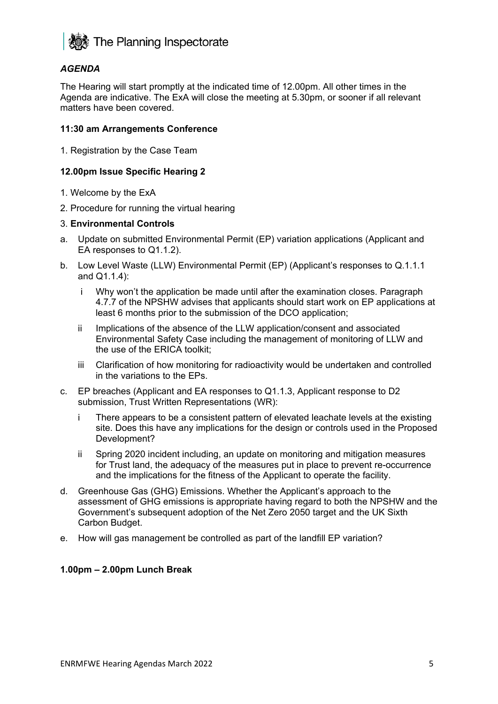

## *AGENDA*

The Hearing will start promptly at the indicated time of 12.00pm. All other times in the Agenda are indicative. The ExA will close the meeting at 5.30pm, or sooner if all relevant matters have been covered.

#### **11:30 am Arrangements Conference**

1. Registration by the Case Team

#### **12.00pm Issue Specific Hearing 2**

- 1. Welcome by the ExA
- 2. Procedure for running the virtual hearing

#### 3. **Environmental Controls**

- a. Update on submitted Environmental Permit (EP) variation applications (Applicant and EA responses to Q1.1.2).
- b. Low Level Waste (LLW) Environmental Permit (EP) (Applicant's responses to Q.1.1.1 and Q1.1.4):
	- i Why won't the application be made until after the examination closes. Paragraph 4.7.7 of the NPSHW advises that applicants should start work on EP applications at least 6 months prior to the submission of the DCO application;
	- ii Implications of the absence of the LLW application/consent and associated Environmental Safety Case including the management of monitoring of LLW and the use of the ERICA toolkit;
	- iii Clarification of how monitoring for radioactivity would be undertaken and controlled in the variations to the EPs.
- c. EP breaches (Applicant and EA responses to Q1.1.3, Applicant response to D2 submission, Trust Written Representations (WR):
	- i There appears to be a consistent pattern of elevated leachate levels at the existing site. Does this have any implications for the design or controls used in the Proposed Development?
	- ii Spring 2020 incident including, an update on monitoring and mitigation measures for Trust land, the adequacy of the measures put in place to prevent re-occurrence and the implications for the fitness of the Applicant to operate the facility.
- d. Greenhouse Gas (GHG) Emissions. Whether the Applicant's approach to the assessment of GHG emissions is appropriate having regard to both the NPSHW and the Government's subsequent adoption of the Net Zero 2050 target and the UK Sixth Carbon Budget.
- e. How will gas management be controlled as part of the landfill EP variation?

#### **1.00pm – 2.00pm Lunch Break**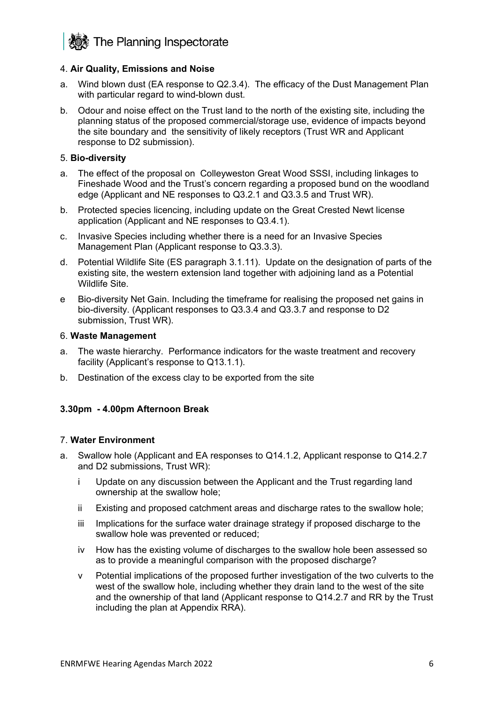**Solution** The Planning Inspectorate

#### 4. **Air Quality, Emissions and Noise**

- a. Wind blown dust (EA response to Q2.3.4). The efficacy of the Dust Management Plan with particular regard to wind-blown dust.
- b. Odour and noise effect on the Trust land to the north of the existing site, including the planning status of the proposed commercial/storage use, evidence of impacts beyond the site boundary and the sensitivity of likely receptors (Trust WR and Applicant response to D2 submission).

#### 5. **Bio-diversity**

- a. The effect of the proposal on Colleyweston Great Wood SSSI, including linkages to Fineshade Wood and the Trust's concern regarding a proposed bund on the woodland edge (Applicant and NE responses to Q3.2.1 and Q3.3.5 and Trust WR).
- b. Protected species licencing, including update on the Great Crested Newt license application (Applicant and NE responses to Q3.4.1).
- c. Invasive Species including whether there is a need for an Invasive Species Management Plan (Applicant response to Q3.3.3).
- d. Potential Wildlife Site (ES paragraph 3.1.11). Update on the designation of parts of the existing site, the western extension land together with adjoining land as a Potential Wildlife Site.
- e Bio-diversity Net Gain. Including the timeframe for realising the proposed net gains in bio-diversity. (Applicant responses to Q3.3.4 and Q3.3.7 and response to D2 submission, Trust WR).

#### 6. **Waste Management**

- a. The waste hierarchy. Performance indicators for the waste treatment and recovery facility (Applicant's response to Q13.1.1).
- b. Destination of the excess clay to be exported from the site

#### **3.30pm - 4.00pm Afternoon Break**

#### 7. **Water Environment**

- a. Swallow hole (Applicant and EA responses to Q14.1.2, Applicant response to Q14.2.7 and D2 submissions, Trust WR):
	- i Update on any discussion between the Applicant and the Trust regarding land ownership at the swallow hole;
	- ii Existing and proposed catchment areas and discharge rates to the swallow hole;
	- iii Implications for the surface water drainage strategy if proposed discharge to the swallow hole was prevented or reduced;
	- iv How has the existing volume of discharges to the swallow hole been assessed so as to provide a meaningful comparison with the proposed discharge?
	- v Potential implications of the proposed further investigation of the two culverts to the west of the swallow hole, including whether they drain land to the west of the site and the ownership of that land (Applicant response to Q14.2.7 and RR by the Trust including the plan at Appendix RRA).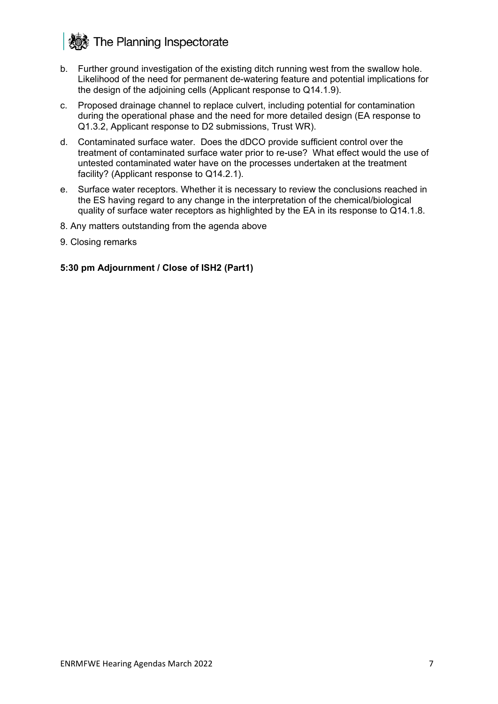# **然** The Planning Inspectorate

- b. Further ground investigation of the existing ditch running west from the swallow hole. Likelihood of the need for permanent de-watering feature and potential implications for the design of the adjoining cells (Applicant response to Q14.1.9).
- c. Proposed drainage channel to replace culvert, including potential for contamination during the operational phase and the need for more detailed design (EA response to Q1.3.2, Applicant response to D2 submissions, Trust WR).
- d. Contaminated surface water. Does the dDCO provide sufficient control over the treatment of contaminated surface water prior to re-use? What effect would the use of untested contaminated water have on the processes undertaken at the treatment facility? (Applicant response to Q14.2.1).
- e. Surface water receptors. Whether it is necessary to review the conclusions reached in the ES having regard to any change in the interpretation of the chemical/biological quality of surface water receptors as highlighted by the EA in its response to Q14.1.8.
- 8. Any matters outstanding from the agenda above
- 9. Closing remarks

#### **5:30 pm Adjournment / Close of ISH2 (Part1)**